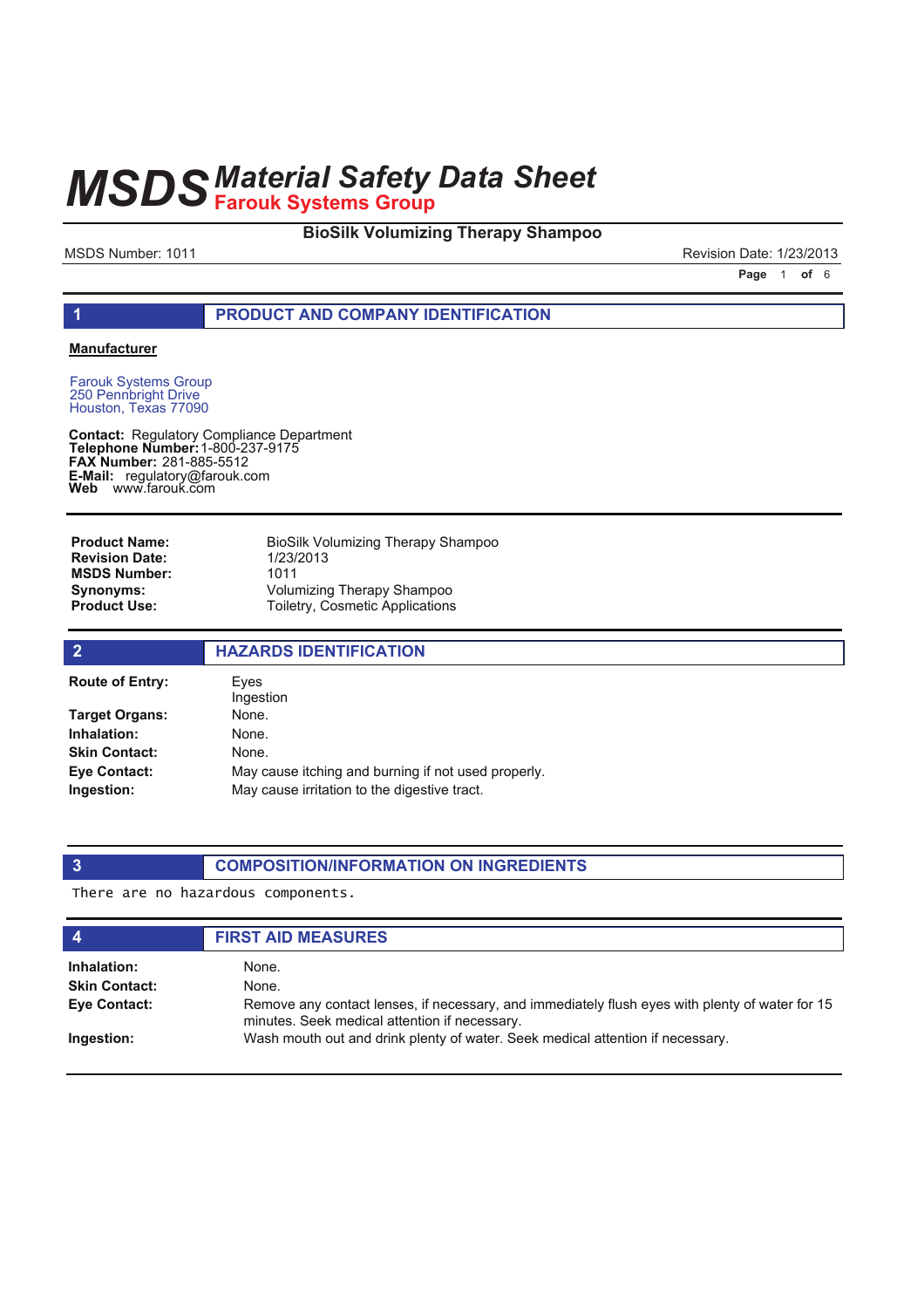#### **BioSilk Volumizing Therapy Shampoo**

MSDS Number: 1011 MSDS Number: 1011

**Page 1 of 6** 

#### **1 PRODUCT AND COMPANY IDENTIFICATION**

#### **Manufacturer**

Farouk Systems Group 250 Pennbright Drive Houston, Texas 77090

**Contact: Telephone Number: FAX Number:** 281-885-5512 **E-Mail: Web** Regulatory Compliance Department 1-800-237-9175 regulatory@farouk.com www.farouk.com

BioSilk Volumizing Therapy Shampoo 1/23/2013 1011 Volumizing Therapy Shampoo Toiletry, Cosmetic Applications **Product Name: Revision Date: MSDS Number: Synonyms: Product Use:**

| $\overline{2}$         | <b>HAZARDS IDENTIFICATION</b>                       |
|------------------------|-----------------------------------------------------|
| <b>Route of Entry:</b> | Eves<br>Ingestion                                   |
| Target Organs:         | None.                                               |
| Inhalation:            | None.                                               |
| <b>Skin Contact:</b>   | None.                                               |
| Eye Contact:           | May cause itching and burning if not used properly. |
| Ingestion:             | May cause irritation to the digestive tract.        |

### **3 COMPOSITION/INFORMATION ON INGREDIENTS**

There are no hazardous components.

| $\boldsymbol{4}$     | <b>FIRST AID MEASURES</b>                                                                                                                        |
|----------------------|--------------------------------------------------------------------------------------------------------------------------------------------------|
| Inhalation:          | None.                                                                                                                                            |
| <b>Skin Contact:</b> | None.                                                                                                                                            |
| Eye Contact:         | Remove any contact lenses, if necessary, and immediately flush eyes with plenty of water for 15<br>minutes. Seek medical attention if necessary. |
| Ingestion:           | Wash mouth out and drink plenty of water. Seek medical attention if necessary.                                                                   |
|                      |                                                                                                                                                  |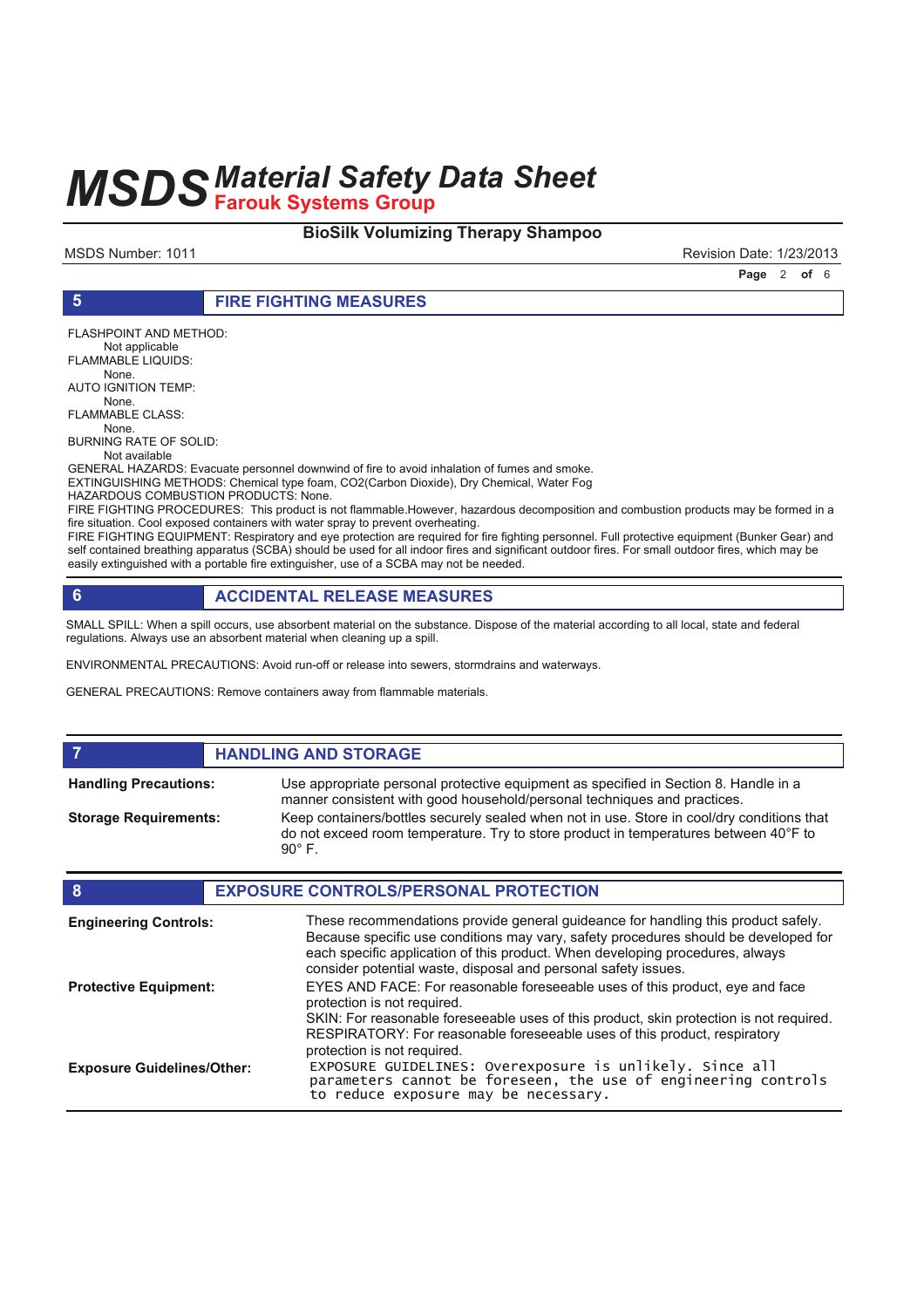#### **BioSilk Volumizing Therapy Shampoo**

MSDS Number: 1011 MSDS Number: 1011

**Page 2 of 6** 

#### **5 FIRE FIGHTING MEASURES**

FLASHPOINT AND METHOD:

Not applicable

FLAMMABLE LIQUIDS: None.

AUTO IGNITION TEMP:

 None. FLAMMABLE CLASS:

None.

BURNING RATE OF SOLID:

Not available

GENERAL HAZARDS: Evacuate personnel downwind of fire to avoid inhalation of fumes and smoke.

EXTINGUISHING METHODS: Chemical type foam, CO2(Carbon Dioxide), Dry Chemical, Water Fog

HAZARDOUS COMBUSTION PRODUCTS: None.

FIRE FIGHTING PROCEDURES: This product is not flammable.However, hazardous decomposition and combustion products may be formed in a fire situation. Cool exposed containers with water spray to prevent overheating.

FIRE FIGHTING EQUIPMENT: Respiratory and eye protection are required for fire fighting personnel. Full protective equipment (Bunker Gear) and self contained breathing apparatus (SCBA) should be used for all indoor fires and significant outdoor fires. For small outdoor fires, which may be easily extinguished with a portable fire extinguisher, use of a SCBA may not be needed.

### **6 ACCIDENTAL RELEASE MEASURES**

SMALL SPILL: When a spill occurs, use absorbent material on the substance. Dispose of the material according to all local, state and federal regulations. Always use an absorbent material when cleaning up a spill.

ENVIRONMENTAL PRECAUTIONS: Avoid run-off or release into sewers, stormdrains and waterways.

GENERAL PRECAUTIONS: Remove containers away from flammable materials.

#### *HANDLING AND STORAGE*

**Handling Precautions:**

**Storage Requirements:**

Use appropriate personal protective equipment as specified in Section 8. Handle in a manner consistent with good household/personal techniques and practices. Keep containers/bottles securely sealed when not in use. Store in cool/dry conditions that do not exceed room temperature. Try to store product in temperatures between 40°F to 90° F.

| 8                                 | <b>EXPOSURE CONTROLS/PERSONAL PROTECTION</b>                                                                                                                                                                                                                                                                                |
|-----------------------------------|-----------------------------------------------------------------------------------------------------------------------------------------------------------------------------------------------------------------------------------------------------------------------------------------------------------------------------|
| <b>Engineering Controls:</b>      | These recommendations provide general guideance for handling this product safely.<br>Because specific use conditions may vary, safety procedures should be developed for<br>each specific application of this product. When developing procedures, always<br>consider potential waste, disposal and personal safety issues. |
| <b>Protective Equipment:</b>      | EYES AND FACE: For reasonable foreseeable uses of this product, eve and face<br>protection is not required.<br>SKIN: For reasonable foreseeable uses of this product, skin protection is not required.<br>RESPIRATORY: For reasonable foreseeable uses of this product, respiratory                                         |
| <b>Exposure Guidelines/Other:</b> | protection is not required.<br>EXPOSURE GUIDELINES: Overexposure is unlikely. Since all parameters cannot be foreseen, the use of engineering controls<br>to reduce exposure may be necessary.                                                                                                                              |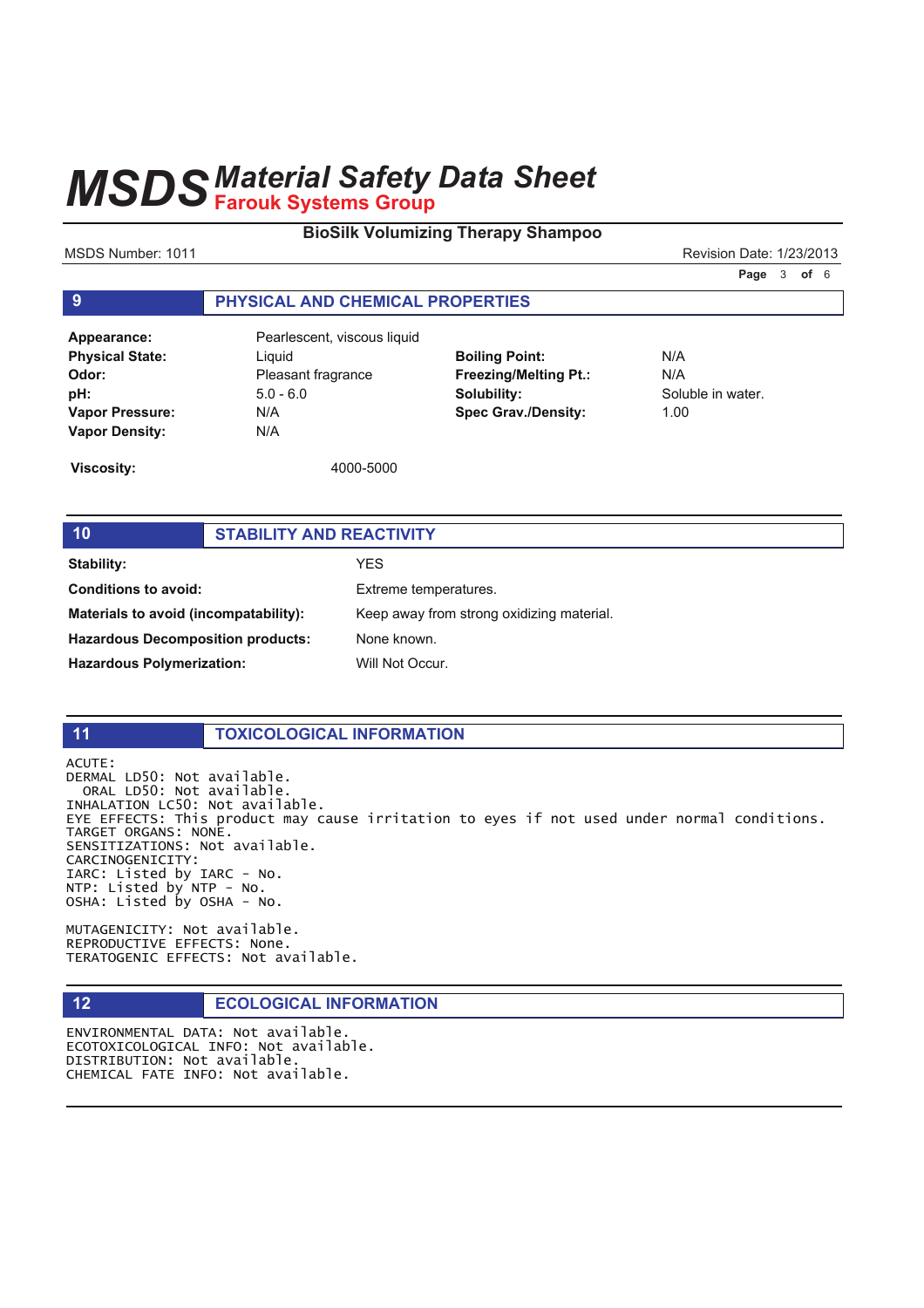#### **BioSilk Volumizing Therapy Shampoo**

MSDS Number: 1011 MSDS Number: 1011

**Page 3 of 6** 

#### **9 PHYSICAL AND CHEMICAL PROPERTIES**

| Appearance:            | Pearlesc    |
|------------------------|-------------|
| <b>Physical State:</b> | Liguid      |
| Odor:                  | Pleasant    |
| pH:                    | $5.0 - 6.0$ |
| <b>Vapor Pressure:</b> | N/A         |
| <b>Vapor Density:</b>  | N/A         |

**Appearance:** Pearlescent, viscous liquid fragrance

**Boiling Point:** N/A **Freezing/Melting Pt.:** N/A **Solubility:** Soluble in water. **Spec Grav./Density:** 1.00

**Viscosity:** 4000-5000

### **10 STABILITY AND REACTIVITY**

**Stability:** YES **Conditions to avoid:** Extreme temperatures. **Materials to avoid (incompatability):** Keep away from strong oxidizing material. **Hazardous Decomposition products:** None known. Hazardous Polymerization: Will Not Occur.

#### **11 TOXICOLOGICAL INFORMATION**

ACUTE: DERMAL LD50: Not available. ORAL LD50: Not available. INHALATION LC50: Not available. EYE EFFECTS: This product may cause irritation to eyes if not used under normal conditions. TARGET ORGANS: NONE. SENSITIZATIONS: Not available. CARCINOGENICITY: IARC: Listed by IARC - No.  $NTP:$  Listed by  $NTP - NO$ . OSHA: Listed by OSHA - No.

MUTAGENICITY: Not available. REPRODUCTIVE EFFECTS: None. TERATOGENIC EFFECTS: Not available.

#### **12 ECOLOGICAL INFORMATION**

ENVIRONMENTAL DATA: Not available. ECOTOXICOLOGICAL INFO: Not available. DISTRIBUTION: Not available. CHEMICAL FATE INFO: Not available.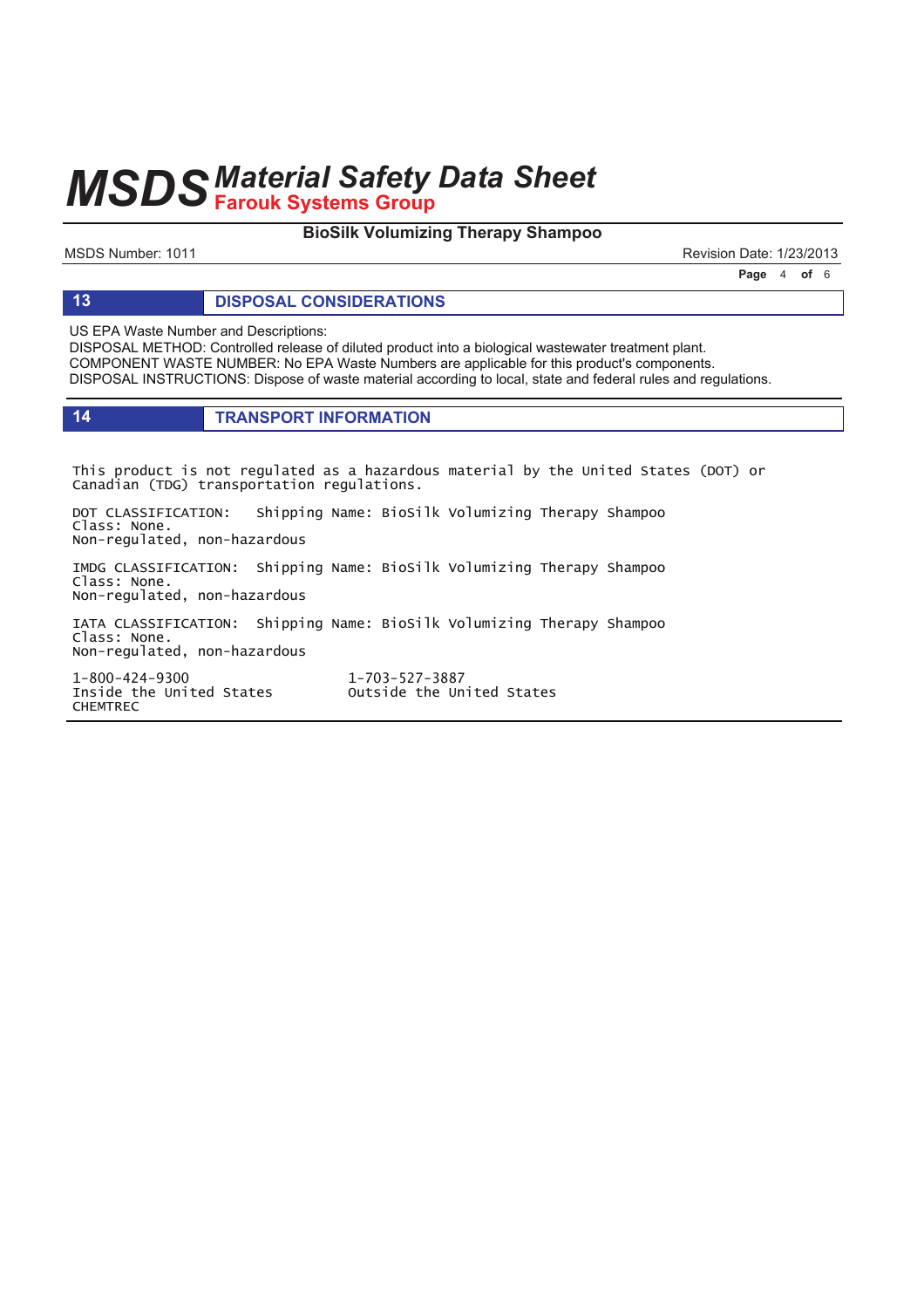#### **BioSilk Volumizing Therapy Shampoo**

MSDS Number: 1011 MSDS Number: 1011

**Page 4 of 6** 

#### **13 DISPOSAL CONSIDERATIONS**

US EPA Waste Number and Descriptions:

DISPOSAL METHOD: Controlled release of diluted product into a biological wastewater treatment plant. COMPONENT WASTE NUMBER: No EPA Waste Numbers are applicable for this product's components. DISPOSAL INSTRUCTIONS: Dispose of waste material according to local, state and federal rules and regulations.

#### **14 TRANSPORT INFORMATION**

This product is not regulated as a hazardous material by the United States (DOT) or Canadian (TDG) transportation regulations.

DOT CLASSIFICATION: Shipping Name: BioSilk Volumizing Therapy Shampoo Class: None. Non-regulated, non-hazardous

IMDG CLASSIFICATION: Shipping Name: BioSilk Volumizing Therapy Shampoo Class: None. Non-regulated, non-hazardous

IATA CLASSIFICATION: Shipping Name: BioSilk Volumizing Therapy Shampoo Class: None. Non-regulated, non-hazardous

 $1 - 800 - 424 - 9300$  1 Inside the United States outside the United States **CHEMTREC** 

1-703-527-3887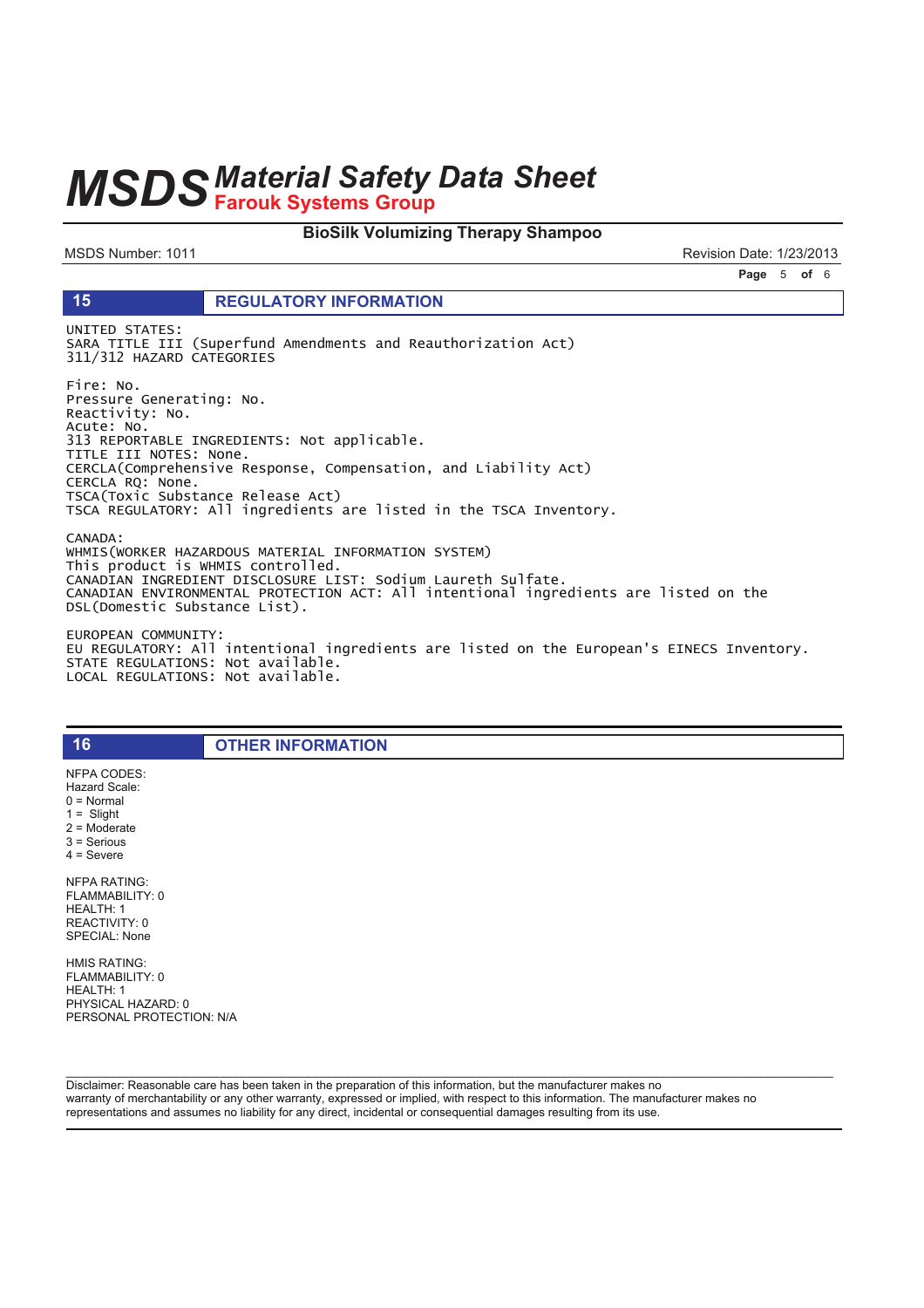#### **BioSilk Volumizing Therapy Shampoo**

MSDS Number: 1011

15

Revision Date: 1/23/2013

Page 5 of 6

#### **REGULATORY INFORMATION**

UNITED STATES: SARA TITLE III (Superfund Amendments and Reauthorization Act) 311/312 HAZARD CATEGORIES

Fire: No. Pressure Generating: No. Reactivity: No. Acute: No.<br>313 REPORTABLE INGREDIENTS: Not applicable. TITLE III NOTES: None. CERCLA(Comprehensive Response, Compensation, and Liability Act) CERCLA RQ: None. TSCA(Toxic Substance Release Act) TSCA REGULATORY: All ingredients are listed in the TSCA Inventory.

CANADA: WHMIS(WORKER HAZARDOUS MATERIAL INFORMATION SYSTEM) This product is WHMIS controlled. CANADIAN INGREDIENT DISCLOSURE LIST: Sodium Laureth Sulfate. CANADIAN ENVIRONMENTAL PROTECTION ACT: All intentional ingredients are listed on the<br>DSL(Domestic Substance List).

EUROPEAN COMMUNITY: EU REGULATORY: All intentional ingredients are listed on the European's EINECS Inventory. STATE REGULATIONS: Not available. LOCAL REGULATIONS: Not available.

**OTHER INFORMATION** 

NFPA CODES: Hazard Scale:  $0 = \text{Normal}$  $1 =$  Slight  $2 =$  Moderate  $3 =$  Serious  $4 =$  Severe **NFPA RATING:** FLAMMABILITY: 0 HEALTH: 1 REACTIVITY: 0 SPECIAL: None

16

**HMIS RATING:** FLAMMABILITY: 0 HEALTH: 1 PHYSICAL HAZARD: 0 PERSONAL PROTECTION: N/A

Disclaimer: Reasonable care has been taken in the preparation of this information, but the manufacturer makes no warranty of merchantability or any other warranty, expressed or implied, with respect to this information. The manufacturer makes no representations and assumes no liability for any direct, incidental or consequential damages resulting from its use.